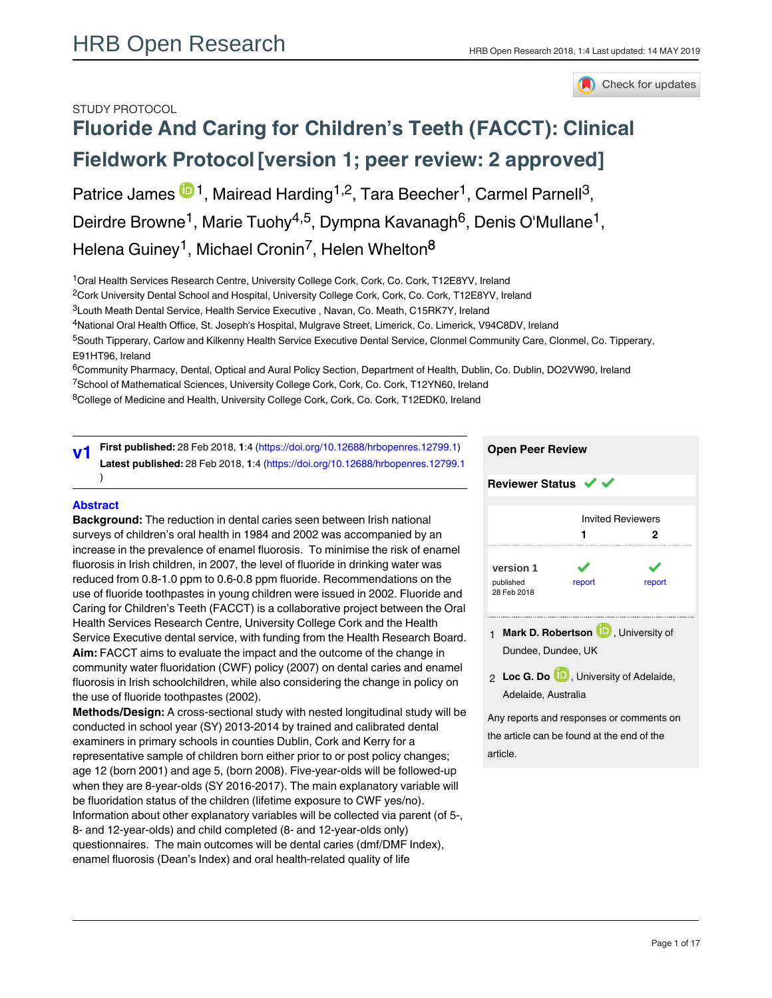### STUDY PROTOCOL



# **[Fluoride And Caring for Children's Teeth \(FACCT\): Clinical](https://hrbopenresearch.org/articles/1-4/v1) [Fieldwork Protocol](https://hrbopenresearch.org/articles/1-4/v1)[version 1; peer review: 2 approved]**

Patrice James  $\blacksquare$ <sup>1</sup>, Mairead Harding <sup>1,2</sup>, Tara Beecher <sup>1</sup>, Carmel Parnell<sup>3</sup>,

Deirdre Browne<sup>1</sup>, Marie Tuohy<sup>4,5</sup>, Dympna Kavanagh<sup>6</sup>, Denis O'Mullane<sup>1</sup>,

Helena Guiney<sup>1</sup>, Michael Cronin<sup>7</sup>, Helen Whelton<sup>8</sup>

<sup>1</sup>Oral Health Services Research Centre, University College Cork, Cork, Co. Cork, T12E8YV, Ireland

 $^2$ Cork University Dental School and Hospital, University College Cork, Cork, Co. Cork, T12E8YV, Ireland

<sup>3</sup>Louth Meath Dental Service, Health Service Executive, Navan, Co. Meath, C15RK7Y, Ireland

<sup>4</sup>National Oral Health Office, St. Joseph's Hospital, Mulgrave Street, Limerick, Co. Limerick, V94C8DV, Ireland

5South Tipperary, Carlow and Kilkenny Health Service Executive Dental Service, Clonmel Community Care, Clonmel, Co. Tipperary, E91HT96, Ireland

 $^6$ Community Pharmacy, Dental, Optical and Aural Policy Section, Department of Health, Dublin, Co. Dublin, DO2VW90, Ireland

<sup>7</sup>School of Mathematical Sciences, University College Cork, Cork, Co. Cork, T12YN60, Ireland

<sup>8</sup>College of Medicine and Health, University College Cork, Cork, Co. Cork, T12EDK0, Ireland

**First published:** 28 Feb 2018, **1**:4 [\(https://doi.org/10.12688/hrbopenres.12799.1\)](https://doi.org/10.12688/hrbopenres.12799.1) **Latest published:** 28 Feb 2018, **1**:4 (<https://doi.org/10.12688/hrbopenres.12799.1> ) **v1**

#### **Abstract**

**Background:** The reduction in dental caries seen between Irish national surveys of children's oral health in 1984 and 2002 was accompanied by an increase in the prevalence of enamel fluorosis. To minimise the risk of enamel fluorosis in Irish children, in 2007, the level of fluoride in drinking water was reduced from 0.8-1.0 ppm to 0.6-0.8 ppm fluoride. Recommendations on the use of fluoride toothpastes in young children were issued in 2002. Fluoride and Caring for Children's Teeth (FACCT) is a collaborative project between the Oral Health Services Research Centre, University College Cork and the Health Service Executive dental service, with funding from the Health Research Board. **Aim:** FACCT aims to evaluate the impact and the outcome of the change in community water fluoridation (CWF) policy (2007) on dental caries and enamel fluorosis in Irish schoolchildren, while also considering the change in policy on the use of fluoride toothpastes (2002).

**Methods/Design:** A cross-sectional study with nested longitudinal study will be conducted in school year (SY) 2013-2014 by trained and calibrated dental examiners in primary schools in counties Dublin, Cork and Kerry for a representative sample of children born either prior to or post policy changes; age 12 (born 2001) and age 5, (born 2008). Five-year-olds will be followed-up when they are 8-year-olds (SY 2016-2017). The main explanatory variable will be fluoridation status of the children (lifetime exposure to CWF yes/no). Information about other explanatory variables will be collected via parent (of 5-, 8- and 12-year-olds) and child completed (8- and 12-year-olds only) questionnaires. The main outcomes will be dental caries (dmf/DMF Index), enamel fluorosis (Dean's Index) and oral health-related quality of life

(OHRQoL). Multivariate regression analyses will be used to determine the



**Loc G. Do** , University of Adelaide, 2 Adelaide, Australia

Any reports and responses or comments on the article can be found at the end of the article.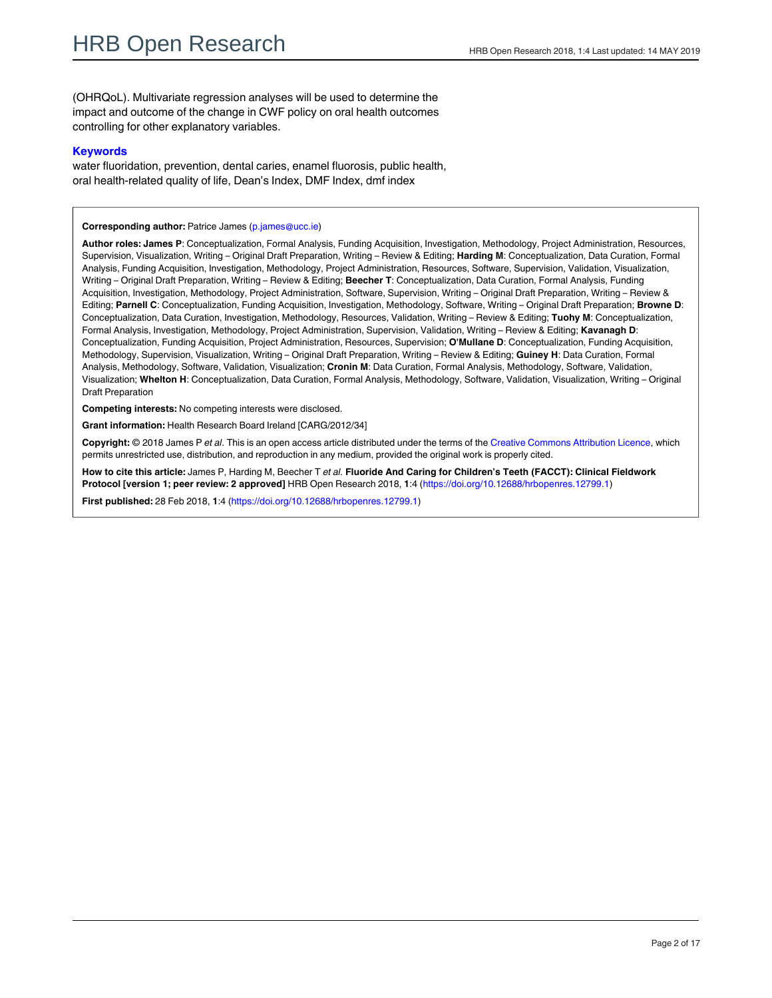(OHRQoL). Multivariate regression analyses will be used to determine the impact and outcome of the change in CWF policy on oral health outcomes controlling for other explanatory variables.

#### **Keywords**

water fluoridation, prevention, dental caries, enamel fluorosis, public health, oral health-related quality of life, Dean's Index, DMF Index, dmf index

#### **Corresponding author:** Patrice James (p.james@ucc.ie)

**Author roles: James P**: Conceptualization, Formal Analysis, Funding Acquisition, Investigation, Methodology, Project Administration, Resources, Supervision, Visualization, Writing – Original Draft Preparation, Writing – Review & Editing; **Harding M**: Conceptualization, Data Curation, Formal Analysis, Funding Acquisition, Investigation, Methodology, Project Administration, Resources, Software, Supervision, Validation, Visualization, Writing – Original Draft Preparation, Writing – Review & Editing; **Beecher T**: Conceptualization, Data Curation, Formal Analysis, Funding Acquisition, Investigation, Methodology, Project Administration, Software, Supervision, Writing – Original Draft Preparation, Writing – Review & Editing; **Parnell C**: Conceptualization, Funding Acquisition, Investigation, Methodology, Software, Writing – Original Draft Preparation; **Browne D**: Conceptualization, Data Curation, Investigation, Methodology, Resources, Validation, Writing – Review & Editing; **Tuohy M**: Conceptualization, Formal Analysis, Investigation, Methodology, Project Administration, Supervision, Validation, Writing – Review & Editing; **Kavanagh D**: Conceptualization, Funding Acquisition, Project Administration, Resources, Supervision; **O'Mullane D**: Conceptualization, Funding Acquisition, Methodology, Supervision, Visualization, Writing – Original Draft Preparation, Writing – Review & Editing; **Guiney H**: Data Curation, Formal Analysis, Methodology, Software, Validation, Visualization; **Cronin M**: Data Curation, Formal Analysis, Methodology, Software, Validation, Visualization; **Whelton H**: Conceptualization, Data Curation, Formal Analysis, Methodology, Software, Validation, Visualization, Writing – Original Draft Preparation

**Competing interests:** No competing interests were disclosed.

**Grant information:** Health Research Board Ireland [CARG/2012/34]

**Copyright:** © 2018 James P *et al*. This is an open access article distributed under the terms of the [Creative Commons Attribution Licence](http://creativecommons.org/licenses/by/4.0/), which permits unrestricted use, distribution, and reproduction in any medium, provided the original work is properly cited.

**How to cite this article:** James P, Harding M, Beecher T *et al.* **Fluoride And Caring for Children's Teeth (FACCT): Clinical Fieldwork Protocol [version 1; peer review: 2 approved]** HRB Open Research 2018, **1**:4 ([https://doi.org/10.12688/hrbopenres.12799.1\)](https://doi.org/10.12688/hrbopenres.12799.1)

**First published:** 28 Feb 2018, **1**:4 ([https://doi.org/10.12688/hrbopenres.12799.1\)](https://doi.org/10.12688/hrbopenres.12799.1)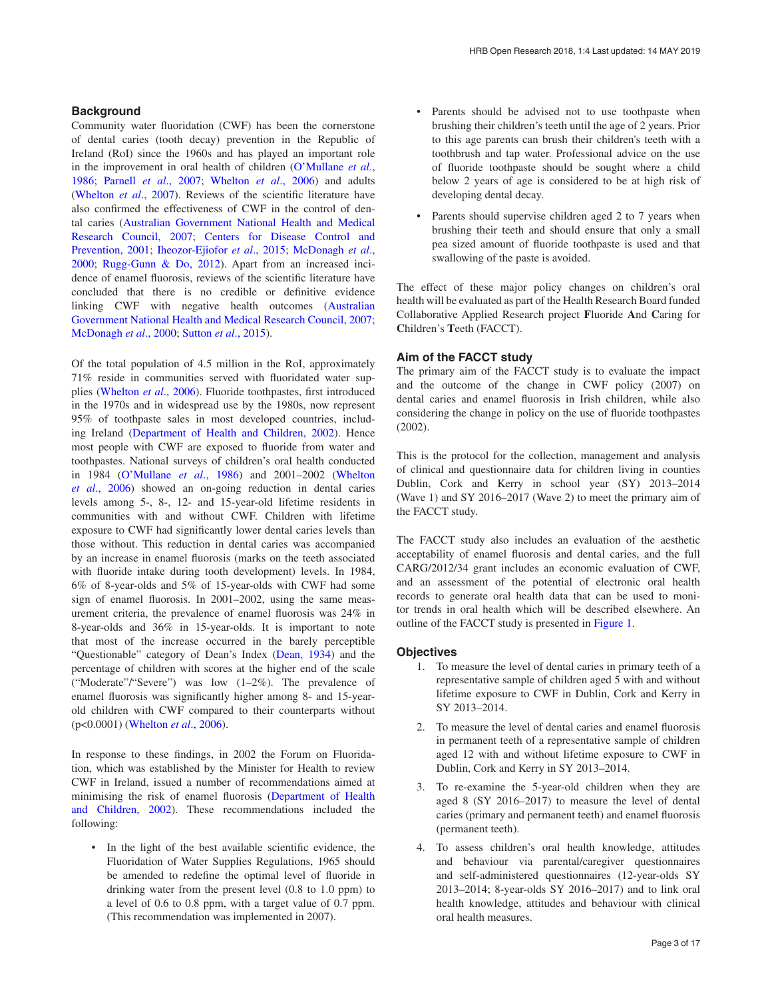#### **Background**

Community water fluoridation (CWF) has been the cornerstone of dental caries (tooth decay) prevention in the Republic of Ireland (RoI) since the 1960s and has played an important role in the improvement in oral health of children [\(O'Mullane](#page-12-0) *et al*., [1986; Parnell](#page-12-0) *et al*., 2007; [Whelton](#page-12-0) *et al*., 2006) and adults ([Whelton](#page-12-0) *et al*., 2007). Reviews of the scientific literature have also confirmed the effectiveness of CWF in the control of dental caries ([Australian Government National Health and Medical](#page-11-0)  [Research Council, 2007; Centers for Disease Control and](#page-11-0)  [Prevention, 2001;](#page-11-0) [Iheozor-Ejiofor](#page-12-0) *et al*., 2015; [McDonagh](#page-12-0) *et al*., [2000;](#page-12-0) [Rugg-Gunn & Do, 2012\)](#page-12-0). Apart from an increased incidence of enamel fluorosis, reviews of the scientific literature have concluded that there is no credible or definitive evidence linking CWF with negative health outcomes [\(Australian](#page-11-0)  [Government National Health and Medical Research Council, 2007](#page-11-0); [McDonagh](#page-12-0) *et al*., 2000; [Sutton](#page-12-0) *et al*., 2015).

Of the total population of 4.5 million in the RoI, approximately 71% reside in communities served with fluoridated water supplies ([Whelton](#page-12-0) *et al*., 2006). Fluoride toothpastes, first introduced in the 1970s and in widespread use by the 1980s, now represent 95% of toothpaste sales in most developed countries, including Ireland [\(Department of Health and Children, 2002](#page-12-0)). Hence most people with CWF are exposed to fluoride from water and toothpastes. National surveys of children's oral health conducted in 1984 [\(O'Mullane](#page-12-0) *et al*., 1986) and 2001–2002 ([Whelton](#page-12-0)  *et al*[., 2006\)](#page-12-0) showed an on-going reduction in dental caries levels among 5-, 8-, 12- and 15-year-old lifetime residents in communities with and without CWF. Children with lifetime exposure to CWF had significantly lower dental caries levels than those without. This reduction in dental caries was accompanied by an increase in enamel fluorosis (marks on the teeth associated with fluoride intake during tooth development) levels. In 1984, 6% of 8-year-olds and 5% of 15-year-olds with CWF had some sign of enamel fluorosis. In 2001–2002, using the same measurement criteria, the prevalence of enamel fluorosis was 24% in 8-year-olds and 36% in 15-year-olds. It is important to note that most of the increase occurred in the barely perceptible "Questionable" category of Dean's Index [\(Dean, 1934\)](#page-12-0) and the percentage of children with scores at the higher end of the scale ("Moderate"/"Severe") was low (1–2%). The prevalence of enamel fluorosis was significantly higher among 8- and 15-yearold children with CWF compared to their counterparts without (p<0.0001) [\(Whelton](#page-12-0) *et al*., 2006).

In response to these findings, in 2002 the Forum on Fluoridation, which was established by the Minister for Health to review CWF in Ireland, issued a number of recommendations aimed at minimising the risk of enamel fluorosis [\(Department of Health](#page-12-0)  [and Children, 2002\)](#page-12-0). These recommendations included the following:

• In the light of the best available scientific evidence, the Fluoridation of Water Supplies Regulations, 1965 should be amended to redefine the optimal level of fluoride in drinking water from the present level (0.8 to 1.0 ppm) to a level of 0.6 to 0.8 ppm, with a target value of 0.7 ppm. (This recommendation was implemented in 2007).

- Parents should be advised not to use toothpaste when brushing their children's teeth until the age of 2 years. Prior to this age parents can brush their children's teeth with a toothbrush and tap water. Professional advice on the use of fluoride toothpaste should be sought where a child below 2 years of age is considered to be at high risk of developing dental decay.
- Parents should supervise children aged 2 to 7 years when brushing their teeth and should ensure that only a small pea sized amount of fluoride toothpaste is used and that swallowing of the paste is avoided.

The effect of these major policy changes on children's oral health will be evaluated as part of the Health Research Board funded Collaborative Applied Research project **F**luoride **A**nd **C**aring for **C**hildren's **T**eeth (FACCT).

#### **Aim of the FACCT study**

The primary aim of the FACCT study is to evaluate the impact and the outcome of the change in CWF policy (2007) on dental caries and enamel fluorosis in Irish children, while also considering the change in policy on the use of fluoride toothpastes (2002).

This is the protocol for the collection, management and analysis of clinical and questionnaire data for children living in counties Dublin, Cork and Kerry in school year (SY) 2013–2014 (Wave 1) and SY 2016–2017 (Wave 2) to meet the primary aim of the FACCT study.

The FACCT study also includes an evaluation of the aesthetic acceptability of enamel fluorosis and dental caries, and the full CARG/2012/34 grant includes an economic evaluation of CWF, and an assessment of the potential of electronic oral health records to generate oral health data that can be used to monitor trends in oral health which will be described elsewhere. An outline of the FACCT study is presented in [Figure 1](#page-3-0).

#### **Objectives**

- 1. To measure the level of dental caries in primary teeth of a representative sample of children aged 5 with and without lifetime exposure to CWF in Dublin, Cork and Kerry in SY 2013–2014.
- 2. To measure the level of dental caries and enamel fluorosis in permanent teeth of a representative sample of children aged 12 with and without lifetime exposure to CWF in Dublin, Cork and Kerry in SY 2013–2014.
- 3. To re-examine the 5-year-old children when they are aged 8 (SY 2016–2017) to measure the level of dental caries (primary and permanent teeth) and enamel fluorosis (permanent teeth).
- 4. To assess children's oral health knowledge, attitudes and behaviour via parental/caregiver questionnaires and self-administered questionnaires (12-year-olds SY 2013–2014; 8-year-olds SY 2016–2017) and to link oral health knowledge, attitudes and behaviour with clinical oral health measures.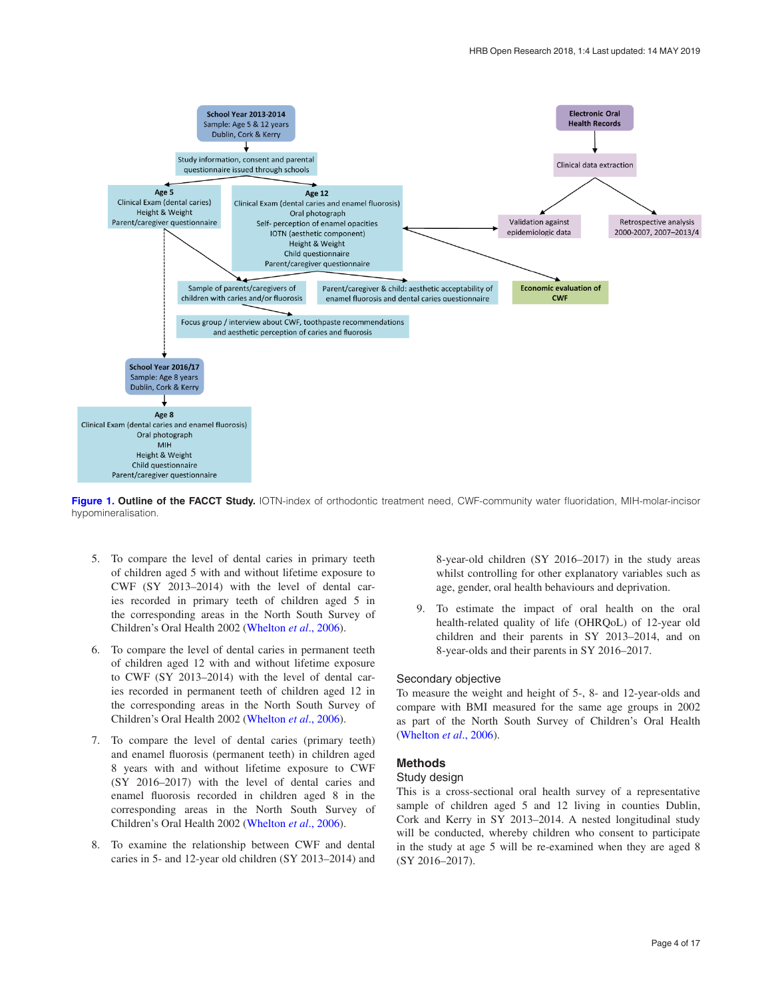<span id="page-3-0"></span>

**Figure 1. Outline of the FACCT Study.** IOTN-index of orthodontic treatment need, CWF-community water fluoridation, MIH-molar-incisor hypomineralisation.

- 5. To compare the level of dental caries in primary teeth of children aged 5 with and without lifetime exposure to CWF (SY 2013–2014) with the level of dental caries recorded in primary teeth of children aged 5 in the corresponding areas in the North South Survey of Children's Oral Health 2002 ([Whelton](#page-12-0) *et al*., 2006).
- 6. To compare the level of dental caries in permanent teeth of children aged 12 with and without lifetime exposure to CWF (SY 2013–2014) with the level of dental caries recorded in permanent teeth of children aged 12 in the corresponding areas in the North South Survey of Children's Oral Health 2002 ([Whelton](#page-12-0) *et al*., 2006).
- 7. To compare the level of dental caries (primary teeth) and enamel fluorosis (permanent teeth) in children aged 8 years with and without lifetime exposure to CWF (SY 2016–2017) with the level of dental caries and enamel fluorosis recorded in children aged 8 in the corresponding areas in the North South Survey of Children's Oral Health 2002 ([Whelton](#page-12-0) *et al*., 2006).
- 8. To examine the relationship between CWF and dental caries in 5- and 12-year old children (SY 2013–2014) and

8-year-old children (SY 2016–2017) in the study areas whilst controlling for other explanatory variables such as age, gender, oral health behaviours and deprivation.

9. To estimate the impact of oral health on the oral health-related quality of life (OHRQoL) of 12-year old children and their parents in SY 2013–2014, and on 8-year-olds and their parents in SY 2016–2017.

#### Secondary objective

To measure the weight and height of 5-, 8- and 12-year-olds and compare with BMI measured for the same age groups in 2002 as part of the North South Survey of Children's Oral Health ([Whelton](#page-12-0) *et al*., 2006).

#### **Methods**

#### Study design

This is a cross-sectional oral health survey of a representative sample of children aged 5 and 12 living in counties Dublin, Cork and Kerry in SY 2013–2014. A nested longitudinal study will be conducted, whereby children who consent to participate in the study at age 5 will be re-examined when they are aged 8 (SY 2016–2017).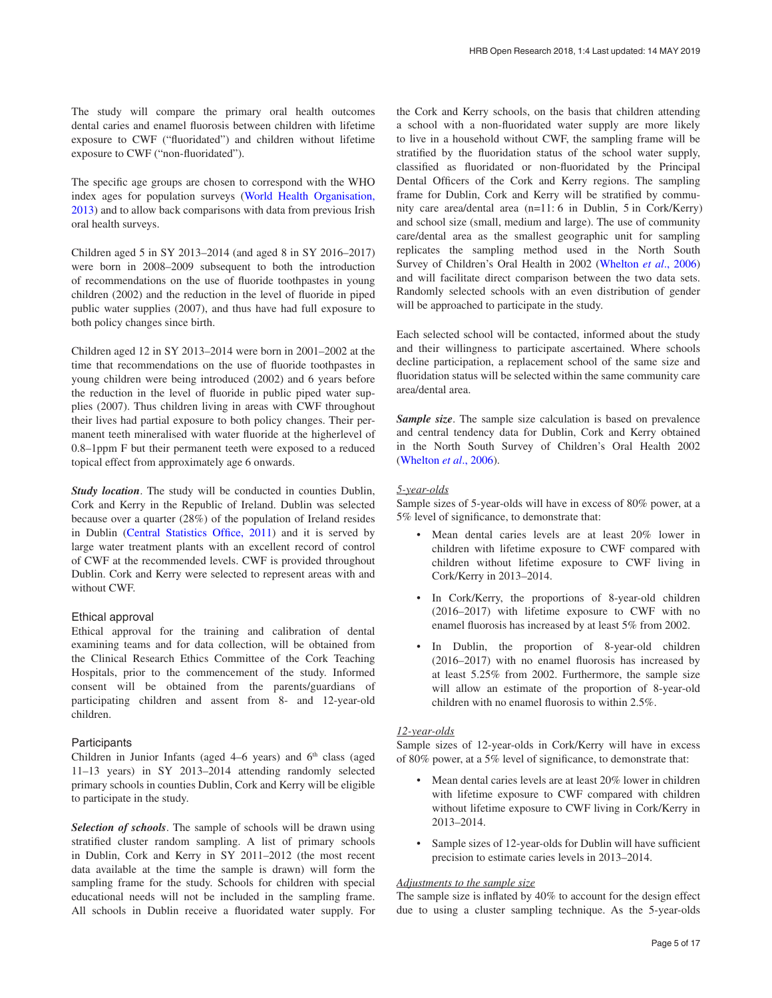The study will compare the primary oral health outcomes dental caries and enamel fluorosis between children with lifetime exposure to CWF ("fluoridated") and children without lifetime exposure to CWF ("non-fluoridated").

The specific age groups are chosen to correspond with the WHO index ages for population surveys ([World Health Organisation,](#page-12-0)  [2013\)](#page-12-0) and to allow back comparisons with data from previous Irish oral health surveys.

Children aged 5 in SY 2013–2014 (and aged 8 in SY 2016–2017) were born in 2008–2009 subsequent to both the introduction of recommendations on the use of fluoride toothpastes in young children (2002) and the reduction in the level of fluoride in piped public water supplies (2007), and thus have had full exposure to both policy changes since birth.

Children aged 12 in SY 2013–2014 were born in 2001–2002 at the time that recommendations on the use of fluoride toothpastes in young children were being introduced (2002) and 6 years before the reduction in the level of fluoride in public piped water supplies (2007). Thus children living in areas with CWF throughout their lives had partial exposure to both policy changes. Their permanent teeth mineralised with water fluoride at the higherlevel of 0.8–1ppm F but their permanent teeth were exposed to a reduced topical effect from approximately age 6 onwards.

*Study location*. The study will be conducted in counties Dublin, Cork and Kerry in the Republic of Ireland. Dublin was selected because over a quarter (28%) of the population of Ireland resides in Dublin ([Central Statistics Office, 2011\)](#page-11-0) and it is served by large water treatment plants with an excellent record of control of CWF at the recommended levels. CWF is provided throughout Dublin. Cork and Kerry were selected to represent areas with and without CWF.

#### Ethical approval

Ethical approval for the training and calibration of dental examining teams and for data collection, will be obtained from the Clinical Research Ethics Committee of the Cork Teaching Hospitals, prior to the commencement of the study. Informed consent will be obtained from the parents/guardians of participating children and assent from 8- and 12-year-old children.

#### **Participants**

Children in Junior Infants (aged  $4-6$  years) and  $6<sup>th</sup>$  class (aged 11–13 years) in SY 2013–2014 attending randomly selected primary schools in counties Dublin, Cork and Kerry will be eligible to participate in the study.

*Selection of schools*. The sample of schools will be drawn using stratified cluster random sampling. A list of primary schools in Dublin, Cork and Kerry in SY 2011–2012 (the most recent data available at the time the sample is drawn) will form the sampling frame for the study. Schools for children with special educational needs will not be included in the sampling frame. All schools in Dublin receive a fluoridated water supply. For the Cork and Kerry schools, on the basis that children attending a school with a non-fluoridated water supply are more likely to live in a household without CWF, the sampling frame will be stratified by the fluoridation status of the school water supply, classified as fluoridated or non-fluoridated by the Principal Dental Officers of the Cork and Kerry regions. The sampling frame for Dublin, Cork and Kerry will be stratified by community care area/dental area (n=11: 6 in Dublin, 5 in Cork/Kerry) and school size (small, medium and large). The use of community care/dental area as the smallest geographic unit for sampling replicates the sampling method used in the North South Survey of Children's Oral Health in 2002 ([Whelton](#page-12-0) *et al*., 2006) and will facilitate direct comparison between the two data sets. Randomly selected schools with an even distribution of gender will be approached to participate in the study.

Each selected school will be contacted, informed about the study and their willingness to participate ascertained. Where schools decline participation, a replacement school of the same size and fluoridation status will be selected within the same community care area/dental area.

*Sample size*. The sample size calculation is based on prevalence and central tendency data for Dublin, Cork and Kerry obtained in the North South Survey of Children's Oral Health 2002 ([Whelton](#page-12-0) *et al*., 2006).

#### *5-year-olds*

Sample sizes of 5-year-olds will have in excess of 80% power, at a 5% level of significance, to demonstrate that:

- Mean dental caries levels are at least 20% lower in children with lifetime exposure to CWF compared with children without lifetime exposure to CWF living in Cork/Kerry in 2013–2014.
- In Cork/Kerry, the proportions of 8-year-old children (2016–2017) with lifetime exposure to CWF with no enamel fluorosis has increased by at least 5% from 2002.
- In Dublin, the proportion of 8-year-old children (2016–2017) with no enamel fluorosis has increased by at least 5.25% from 2002. Furthermore, the sample size will allow an estimate of the proportion of 8-year-old children with no enamel fluorosis to within 2.5%.

#### *12-year-olds*

Sample sizes of 12-year-olds in Cork/Kerry will have in excess of 80% power, at a 5% level of significance, to demonstrate that:

- Mean dental caries levels are at least 20% lower in children with lifetime exposure to CWF compared with children without lifetime exposure to CWF living in Cork/Kerry in 2013–2014.
- Sample sizes of 12-year-olds for Dublin will have sufficient precision to estimate caries levels in 2013–2014.

#### *Adjustments to the sample size*

The sample size is inflated by 40% to account for the design effect due to using a cluster sampling technique. As the 5-year-olds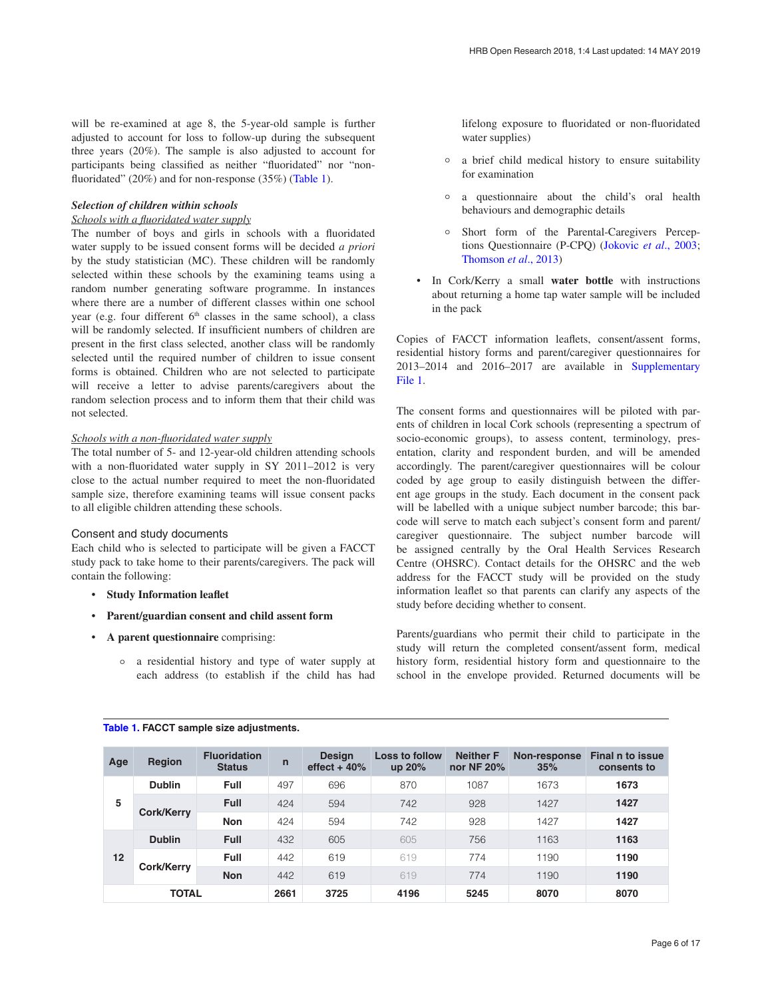will be re-examined at age 8, the 5-year-old sample is further adjusted to account for loss to follow-up during the subsequent three years (20%). The sample is also adjusted to account for participants being classified as neither "fluoridated" nor "nonfluoridated" (20%) and for non-response (35%) (Table 1).

#### *Selection of children within schools*

#### *Schools with a fluoridated water supply*

The number of boys and girls in schools with a fluoridated water supply to be issued consent forms will be decided *a priori* by the study statistician (MC). These children will be randomly selected within these schools by the examining teams using a random number generating software programme. In instances where there are a number of different classes within one school year (e.g. four different  $6<sup>th</sup>$  classes in the same school), a class will be randomly selected. If insufficient numbers of children are present in the first class selected, another class will be randomly selected until the required number of children to issue consent forms is obtained. Children who are not selected to participate will receive a letter to advise parents/caregivers about the random selection process and to inform them that their child was not selected.

#### *Schools with a non-fluoridated water supply*

The total number of 5- and 12-year-old children attending schools with a non-fluoridated water supply in SY 2011–2012 is very close to the actual number required to meet the non-fluoridated sample size, therefore examining teams will issue consent packs to all eligible children attending these schools.

#### Consent and study documents

Each child who is selected to participate will be given a FACCT study pack to take home to their parents/caregivers. The pack will contain the following:

- **Study Information leaflet**
- **Parent/guardian consent and child assent form**
- **A parent questionnaire** comprising:
	- ° a residential history and type of water supply at each address (to establish if the child has had

lifelong exposure to fluoridated or non-fluoridated water supplies)

- ° a brief child medical history to ensure suitability for examination
- ° a questionnaire about the child's oral health behaviours and demographic details
- ° Short form of the Parental-Caregivers Perceptions Questionnaire (P-CPQ) [\(Jokovic](#page-12-0) *et al*., 2003; [Thomson](#page-12-0) *et al*., 2013)
- In Cork/Kerry a small **water bottle** with instructions about returning a home tap water sample will be included in the pack

Copies of FACCT information leaflets, consent/assent forms, residential history forms and parent/caregiver questionnaires for 2013–2014 and 2016–2017 are available in [Supplementary](#page-11-0) [File 1](#page-11-0).

The consent forms and questionnaires will be piloted with parents of children in local Cork schools (representing a spectrum of socio-economic groups), to assess content, terminology, presentation, clarity and respondent burden, and will be amended accordingly. The parent/caregiver questionnaires will be colour coded by age group to easily distinguish between the different age groups in the study. Each document in the consent pack will be labelled with a unique subject number barcode; this barcode will serve to match each subject's consent form and parent/ caregiver questionnaire. The subject number barcode will be assigned centrally by the Oral Health Services Research Centre (OHSRC). Contact details for the OHSRC and the web address for the FACCT study will be provided on the study information leaflet so that parents can clarify any aspects of the study before deciding whether to consent.

Parents/guardians who permit their child to participate in the study will return the completed consent/assent form, medical history form, residential history form and questionnaire to the school in the envelope provided. Returned documents will be

| Age          | Region        | <b>Fluoridation</b><br><b>Status</b> | $\mathsf{n}$ | <b>Design</b><br>effect $+40%$ | <b>Loss to follow</b><br>up 20% | <b>Neither F</b><br>nor NF 20% | <b>Non-response</b><br>35% | Final n to issue<br>consents to |
|--------------|---------------|--------------------------------------|--------------|--------------------------------|---------------------------------|--------------------------------|----------------------------|---------------------------------|
| 5            | <b>Dublin</b> | <b>Full</b>                          | 497          | 696                            | 870                             | 1087                           | 1673                       | 1673                            |
|              | Cork/Kerry    | <b>Full</b>                          | 424          | 594                            | 742                             | 928                            | 1427                       | 1427                            |
|              |               | <b>Non</b>                           | 424          | 594                            | 742                             | 928                            | 1427                       | 1427                            |
| 12           | <b>Dublin</b> | <b>Full</b>                          | 432          | 605                            | 605                             | 756                            | 1163                       | 1163                            |
|              | Cork/Kerry    | <b>Full</b>                          | 442          | 619                            | 619                             | 774                            | 1190                       | 1190                            |
|              |               | <b>Non</b>                           | 442          | 619                            | 619                             | 774                            | 1190                       | 1190                            |
| <b>TOTAL</b> |               | 2661                                 | 3725         | 4196                           | 5245                            | 8070                           | 8070                       |                                 |

#### **Table 1. FACCT sample size adjustments.**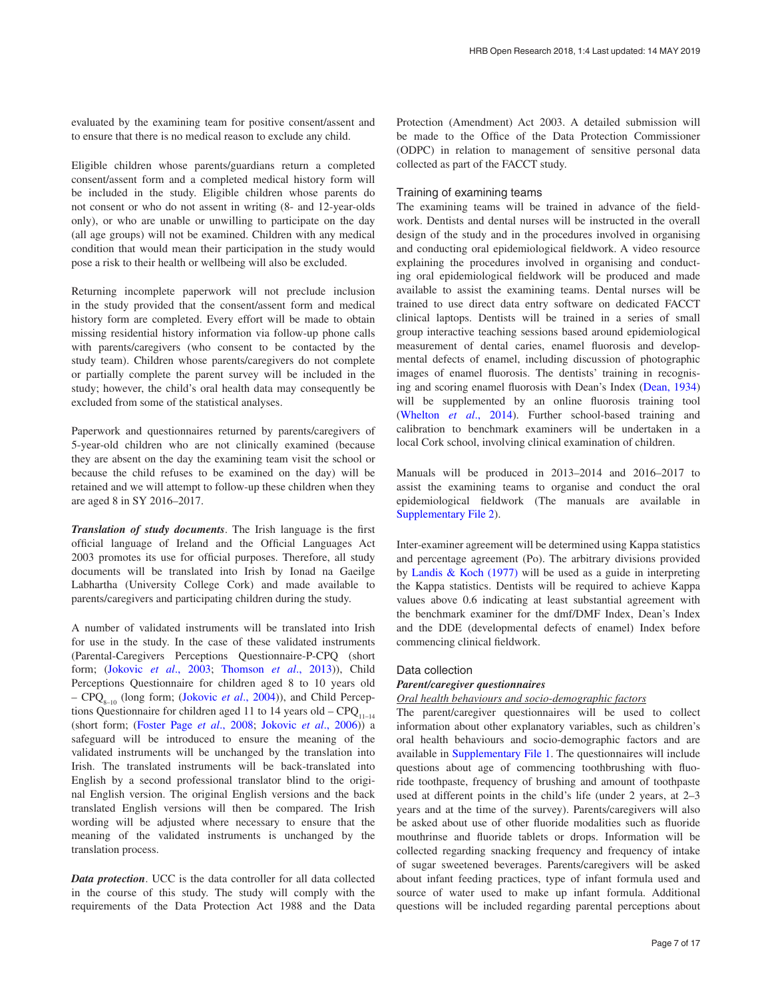evaluated by the examining team for positive consent/assent and to ensure that there is no medical reason to exclude any child.

Eligible children whose parents/guardians return a completed consent/assent form and a completed medical history form will be included in the study. Eligible children whose parents do not consent or who do not assent in writing (8- and 12-year-olds only), or who are unable or unwilling to participate on the day (all age groups) will not be examined. Children with any medical condition that would mean their participation in the study would pose a risk to their health or wellbeing will also be excluded.

Returning incomplete paperwork will not preclude inclusion in the study provided that the consent/assent form and medical history form are completed. Every effort will be made to obtain missing residential history information via follow-up phone calls with parents/caregivers (who consent to be contacted by the study team). Children whose parents/caregivers do not complete or partially complete the parent survey will be included in the study; however, the child's oral health data may consequently be excluded from some of the statistical analyses.

Paperwork and questionnaires returned by parents/caregivers of 5-year-old children who are not clinically examined (because they are absent on the day the examining team visit the school or because the child refuses to be examined on the day) will be retained and we will attempt to follow-up these children when they are aged 8 in SY 2016–2017.

*Translation of study documents*. The Irish language is the first official language of Ireland and the Official Languages Act 2003 promotes its use for official purposes. Therefore, all study documents will be translated into Irish by Ionad na Gaeilge Labhartha (University College Cork) and made available to parents/caregivers and participating children during the study.

A number of validated instruments will be translated into Irish for use in the study. In the case of these validated instruments (Parental-Caregivers Perceptions Questionnaire-P-CPQ (short form; (Jokovic *et al*[., 2003; Thomson](#page-12-0) *et al*., 2013)), Child Perceptions Questionnaire for children aged 8 to 10 years old – CPQ<sub>8–10</sub> (long form; ([Jokovic](#page-12-0) *et al.*, 2004)), and Child Perceptions Questionnaire for children aged 11 to 14 years old –  $CPQ_{11-14}$ (short form; ([Foster Page](#page-12-0) *et al*., 2008; [Jokovic](#page-12-0) *et al*., 2006)) a safeguard will be introduced to ensure the meaning of the validated instruments will be unchanged by the translation into Irish. The translated instruments will be back-translated into English by a second professional translator blind to the original English version. The original English versions and the back translated English versions will then be compared. The Irish wording will be adjusted where necessary to ensure that the meaning of the validated instruments is unchanged by the translation process.

*Data protection*. UCC is the data controller for all data collected in the course of this study. The study will comply with the requirements of the Data Protection Act 1988 and the Data

Protection (Amendment) Act 2003. A detailed submission will be made to the Office of the Data Protection Commissioner (ODPC) in relation to management of sensitive personal data collected as part of the FACCT study.

#### Training of examining teams

The examining teams will be trained in advance of the fieldwork. Dentists and dental nurses will be instructed in the overall design of the study and in the procedures involved in organising and conducting oral epidemiological fieldwork. A video resource explaining the procedures involved in organising and conducting oral epidemiological fieldwork will be produced and made available to assist the examining teams. Dental nurses will be trained to use direct data entry software on dedicated FACCT clinical laptops. Dentists will be trained in a series of small group interactive teaching sessions based around epidemiological measurement of dental caries, enamel fluorosis and developmental defects of enamel, including discussion of photographic images of enamel fluorosis. The dentists' training in recognising and scoring enamel fluorosis with Dean's Index [\(Dean, 1934\)](#page-12-0) will be supplemented by an online fluorosis training tool ([Whelton](#page-12-0) *et al*., 2014). Further school-based training and calibration to benchmark examiners will be undertaken in a local Cork school, involving clinical examination of children.

Manuals will be produced in 2013–2014 and 2016–2017 to assist the examining teams to organise and conduct the oral epidemiological fieldwork (The manuals are available in [Supplementary File 2](#page-11-0)).

Inter-examiner agreement will be determined using Kappa statistics and percentage agreement (Po). The arbitrary divisions provided by [Landis & Koch \(1977\)](#page-12-0) will be used as a guide in interpreting the Kappa statistics. Dentists will be required to achieve Kappa values above 0.6 indicating at least substantial agreement with the benchmark examiner for the dmf/DMF Index, Dean's Index and the DDE (developmental defects of enamel) Index before commencing clinical fieldwork.

#### Data collection

### *Parent/caregiver questionnaires*

#### *Oral health behaviours and socio-demographic factors*

The parent/caregiver questionnaires will be used to collect information about other explanatory variables, such as children's oral health behaviours and socio-demographic factors and are available in [Supplementary File 1.](#page-11-0) The questionnaires will include questions about age of commencing toothbrushing with fluoride toothpaste, frequency of brushing and amount of toothpaste used at different points in the child's life (under 2 years, at 2–3 years and at the time of the survey). Parents/caregivers will also be asked about use of other fluoride modalities such as fluoride mouthrinse and fluoride tablets or drops. Information will be collected regarding snacking frequency and frequency of intake of sugar sweetened beverages. Parents/caregivers will be asked about infant feeding practices, type of infant formula used and source of water used to make up infant formula. Additional questions will be included regarding parental perceptions about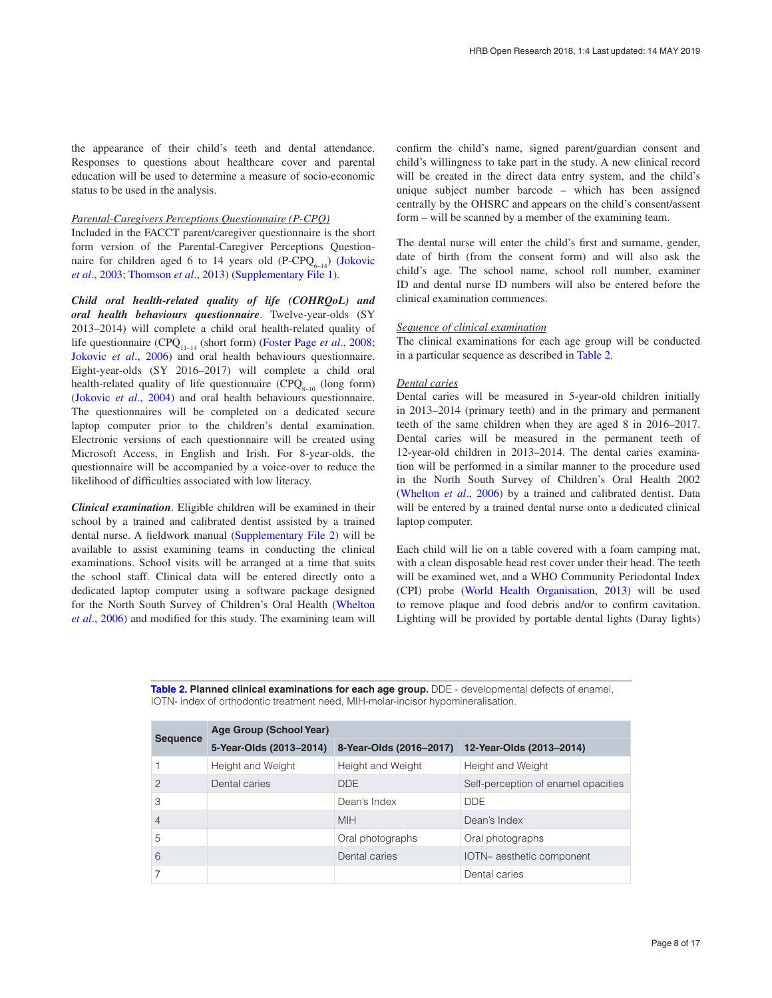the appearance of their child's teeth and dental attendance. Responses to questions about healthcare cover and parental education will be used to determine a measure of socio-economic status to be used in the analysis.

#### *Parental-Caregivers Perceptions Questionnaire (P-CPQ)*

Included in the FACCT parent/caregiver questionnaire is the short form version of the Parental-Caregiver Perceptions Questionnaire for children aged 6 to 14 years old  $(P-CPQ_{6-14})$  (Jokovic *et al*[., 2003; Thomson](#page-12-0) *et al*., 2013) ([Supplementary File 1](#page-11-0)).

*Child oral health-related quality of life (COHRQoL) and oral health behaviours questionnaire*. Twelve-year-olds (SY 2013–2014) will complete a child oral health-related quality of life questionnaire (CPQ<sub>11–14</sub> (short form) ([Foster Page](#page-12-0) *et al.*, 2008; [Jokovic](#page-12-0) *et al*., 2006) and oral health behaviours questionnaire. Eight-year-olds (SY 2016–2017) will complete a child oral health-related quality of life questionnaire ( $CPQ<sub>8-10</sub>$  (long form) ([Jokovic](#page-12-0) *et al*., 2004) and oral health behaviours questionnaire. The questionnaires will be completed on a dedicated secure laptop computer prior to the children's dental examination. Electronic versions of each questionnaire will be created using Microsoft Access, in English and Irish. For 8-year-olds, the questionnaire will be accompanied by a voice-over to reduce the likelihood of difficulties associated with low literacy.

*Clinical examination*. Eligible children will be examined in their school by a trained and calibrated dentist assisted by a trained dental nurse. A fieldwork manual [\(Supplementary File 2\)](#page-11-0) will be available to assist examining teams in conducting the clinical examinations. School visits will be arranged at a time that suits the school staff. Clinical data will be entered directly onto a dedicated laptop computer using a software package designed for the North South Survey of Children's Oral Health ([Whelton](#page-12-0)  *et al*[., 2006\)](#page-12-0) and modified for this study. The examining team will

confirm the child's name, signed parent/guardian consent and child's willingness to take part in the study. A new clinical record will be created in the direct data entry system, and the child's unique subject number barcode – which has been assigned centrally by the OHSRC and appears on the child's consent/assent form – will be scanned by a member of the examining team.

The dental nurse will enter the child's first and surname, gender, date of birth (from the consent form) and will also ask the child's age. The school name, school roll number, examiner ID and dental nurse ID numbers will also be entered before the clinical examination commences.

#### *Sequence of clinical examination*

The clinical examinations for each age group will be conducted in a particular sequence as described in Table 2.

#### *Dental caries*

Dental caries will be measured in 5-year-old children initially in 2013–2014 (primary teeth) and in the primary and permanent teeth of the same children when they are aged 8 in 2016–2017. Dental caries will be measured in the permanent teeth of 12-year-old children in 2013–2014. The dental caries examination will be performed in a similar manner to the procedure used in the North South Survey of Children's Oral Health 2002 ([Whelton](#page-12-0) *et al*., 2006) by a trained and calibrated dentist. Data will be entered by a trained dental nurse onto a dedicated clinical laptop computer.

Each child will lie on a table covered with a foam camping mat, with a clean disposable head rest cover under their head. The teeth will be examined wet, and a WHO Community Periodontal Index (CPI) probe ([World Health Organisation, 2013\)](#page-12-0) will be used to remove plaque and food debris and/or to confirm cavitation. Lighting will be provided by portable dental lights (Daray lights)

**Table 2. Planned clinical examinations for each age group.** DDE - developmental defects of enamel, IOTN- index of orthodontic treatment need, MIH-molar-incisor hypomineralisation.

|                 | Age Group (School Year) |                         |                                     |  |  |  |  |
|-----------------|-------------------------|-------------------------|-------------------------------------|--|--|--|--|
| <b>Sequence</b> | 5-Year-Olds (2013-2014) | 8-Year-Olds (2016-2017) | 12-Year-Olds (2013-2014)            |  |  |  |  |
|                 | Height and Weight       | Height and Weight       | Height and Weight                   |  |  |  |  |
| 2               | Dental caries           | DDE.                    | Self-perception of enamel opacities |  |  |  |  |
| 3               |                         | Dean's Index            | <b>DDF</b>                          |  |  |  |  |
| 4               |                         | <b>MIH</b>              | Dean's Index                        |  |  |  |  |
| 5               |                         | Oral photographs        | Oral photographs                    |  |  |  |  |
| 6               |                         | Dental caries           | IOTN- aesthetic component           |  |  |  |  |
|                 |                         |                         | Dental caries                       |  |  |  |  |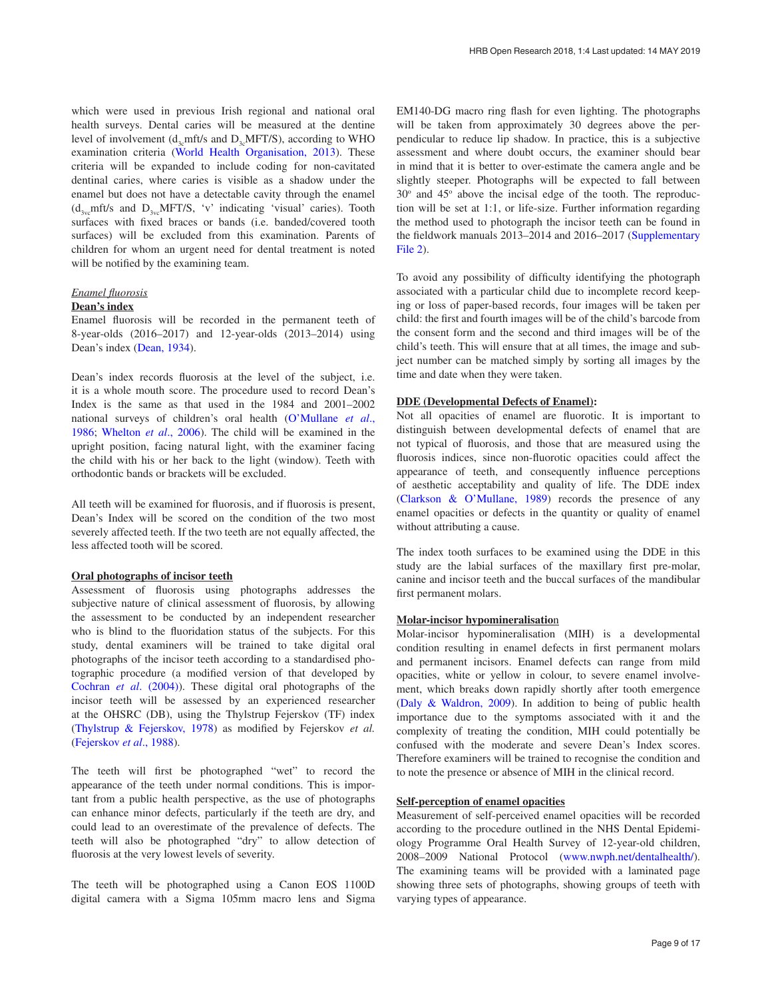which were used in previous Irish regional and national oral health surveys. Dental caries will be measured at the dentine level of involvement ( $d_{3c}$ mft/s and  $D_{3c}$ MFT/S), according to WHO examination criteria [\(World Health Organisation, 2013](#page-12-0)). These criteria will be expanded to include coding for non-cavitated dentinal caries, where caries is visible as a shadow under the enamel but does not have a detectable cavity through the enamel  $(d_{3v_c}mft/s$  and  $D_{3v_c}MFT/S$ , 'v' indicating 'visual' caries). Tooth surfaces with fixed braces or bands (i.e. banded/covered tooth surfaces) will be excluded from this examination. Parents of children for whom an urgent need for dental treatment is noted will be notified by the examining team.

#### *Enamel fluorosis*

#### **Dean's index**

Enamel fluorosis will be recorded in the permanent teeth of 8-year-olds (2016–2017) and 12-year-olds (2013–2014) using Dean's index [\(Dean, 1934\)](#page-12-0).

Dean's index records fluorosis at the level of the subject, i.e. it is a whole mouth score. The procedure used to record Dean's Index is the same as that used in the 1984 and 2001–2002 national surveys of children's oral health ([O'Mullane](#page-12-0) *et al*., [1986;](#page-12-0) [Whelton](#page-12-0) *et al*., 2006). The child will be examined in the upright position, facing natural light, with the examiner facing the child with his or her back to the light (window). Teeth with orthodontic bands or brackets will be excluded.

All teeth will be examined for fluorosis, and if fluorosis is present, Dean's Index will be scored on the condition of the two most severely affected teeth. If the two teeth are not equally affected, the less affected tooth will be scored.

#### **Oral photographs of incisor teeth**

Assessment of fluorosis using photographs addresses the subjective nature of clinical assessment of fluorosis, by allowing the assessment to be conducted by an independent researcher who is blind to the fluoridation status of the subjects. For this study, dental examiners will be trained to take digital oral photographs of the incisor teeth according to a standardised photographic procedure (a modified version of that developed by [Cochran](#page-12-0) *et al*. (2004)). These digital oral photographs of the incisor teeth will be assessed by an experienced researcher at the OHSRC (DB), using the Thylstrup Fejerskov (TF) index ([Thylstrup & Fejerskov, 1978](#page-12-0)) as modified by Fejerskov *et al.* ([Fejerskov](#page-12-0) *et al*., 1988).

The teeth will first be photographed "wet" to record the appearance of the teeth under normal conditions. This is important from a public health perspective, as the use of photographs can enhance minor defects, particularly if the teeth are dry, and could lead to an overestimate of the prevalence of defects. The teeth will also be photographed "dry" to allow detection of fluorosis at the very lowest levels of severity.

The teeth will be photographed using a Canon EOS 1100D digital camera with a Sigma 105mm macro lens and Sigma EM140-DG macro ring flash for even lighting. The photographs will be taken from approximately 30 degrees above the perpendicular to reduce lip shadow. In practice, this is a subjective assessment and where doubt occurs, the examiner should bear in mind that it is better to over-estimate the camera angle and be slightly steeper. Photographs will be expected to fall between 30° and 45° above the incisal edge of the tooth. The reproduction will be set at 1:1, or life-size. Further information regarding the method used to photograph the incisor teeth can be found in the fieldwork manuals 2013–2014 and 2016–2017 [\(Supplementary](#page-11-0)  [File 2](#page-11-0)).

To avoid any possibility of difficulty identifying the photograph associated with a particular child due to incomplete record keeping or loss of paper-based records, four images will be taken per child: the first and fourth images will be of the child's barcode from the consent form and the second and third images will be of the child's teeth. This will ensure that at all times, the image and subject number can be matched simply by sorting all images by the time and date when they were taken.

#### **DDE (Developmental Defects of Enamel):**

Not all opacities of enamel are fluorotic. It is important to distinguish between developmental defects of enamel that are not typical of fluorosis, and those that are measured using the fluorosis indices, since non-fluorotic opacities could affect the appearance of teeth, and consequently influence perceptions of aesthetic acceptability and quality of life. The DDE index ([Clarkson & O'Mullane, 1989](#page-12-0)) records the presence of any enamel opacities or defects in the quantity or quality of enamel without attributing a cause.

The index tooth surfaces to be examined using the DDE in this study are the labial surfaces of the maxillary first pre-molar, canine and incisor teeth and the buccal surfaces of the mandibular first permanent molars.

#### **Molar-incisor hypomineralisatio**n

Molar-incisor hypomineralisation (MIH) is a developmental condition resulting in enamel defects in first permanent molars and permanent incisors. Enamel defects can range from mild opacities, white or yellow in colour, to severe enamel involvement, which breaks down rapidly shortly after tooth emergence ([Daly & Waldron, 2009](#page-12-0)). In addition to being of public health importance due to the symptoms associated with it and the complexity of treating the condition, MIH could potentially be confused with the moderate and severe Dean's Index scores. Therefore examiners will be trained to recognise the condition and to note the presence or absence of MIH in the clinical record.

#### **Self-perception of enamel opacities**

Measurement of self-perceived enamel opacities will be recorded according to the procedure outlined in the NHS Dental Epidemiology Programme Oral Health Survey of 12-year-old children, 2008–2009 National Protocol ([www.nwph.net/dentalhealth/](http://www.nwph.net/dentalhealth/)). The examining teams will be provided with a laminated page showing three sets of photographs, showing groups of teeth with varying types of appearance.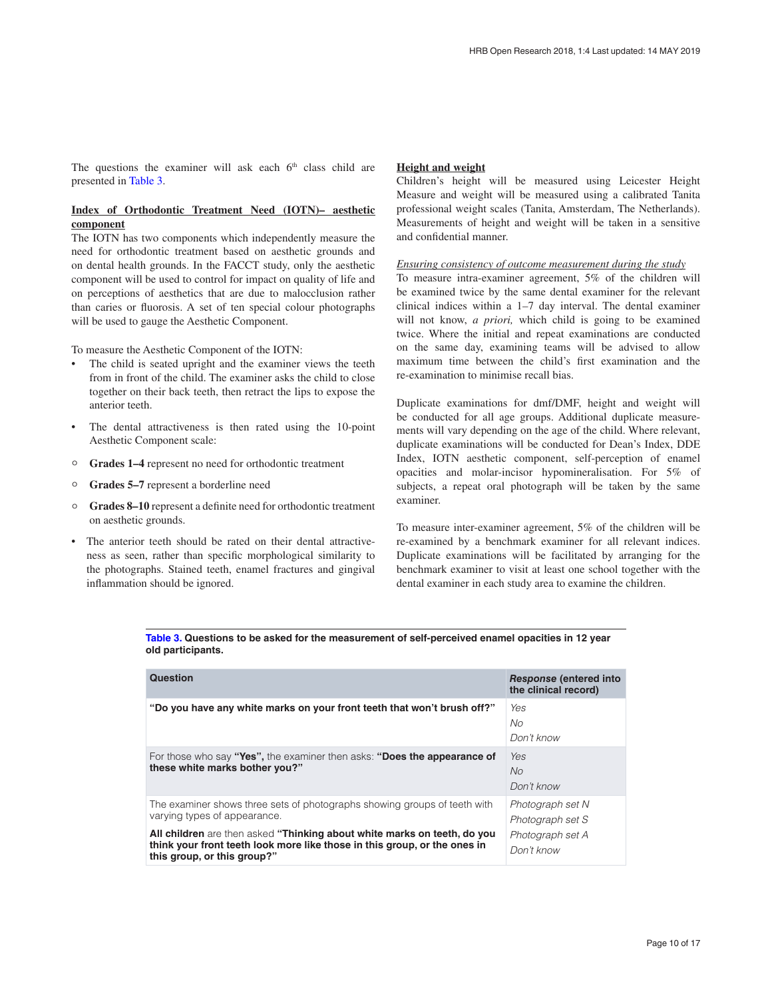The questions the examiner will ask each  $6<sup>th</sup>$  class child are presented in Table 3.

#### **Index of Orthodontic Treatment Need (IOTN)– aesthetic component**

The IOTN has two components which independently measure the need for orthodontic treatment based on aesthetic grounds and on dental health grounds. In the FACCT study, only the aesthetic component will be used to control for impact on quality of life and on perceptions of aesthetics that are due to malocclusion rather than caries or fluorosis. A set of ten special colour photographs will be used to gauge the Aesthetic Component.

To measure the Aesthetic Component of the IOTN:

- The child is seated upright and the examiner views the teeth from in front of the child. The examiner asks the child to close together on their back teeth, then retract the lips to expose the anterior teeth.
- The dental attractiveness is then rated using the 10-point Aesthetic Component scale:
- ° **Grades 1–4** represent no need for orthodontic treatment
- ° **Grades 5–7** represent a borderline need
- ° **Grades 8–10** represent a definite need for orthodontic treatment on aesthetic grounds.
- The anterior teeth should be rated on their dental attractiveness as seen, rather than specific morphological similarity to the photographs. Stained teeth, enamel fractures and gingival inflammation should be ignored.

#### **Height and weight**

Children's height will be measured using Leicester Height Measure and weight will be measured using a calibrated Tanita professional weight scales (Tanita, Amsterdam, The Netherlands). Measurements of height and weight will be taken in a sensitive and confidential manner.

#### *Ensuring consistency of outcome measurement during the study*

To measure intra-examiner agreement, 5% of the children will be examined twice by the same dental examiner for the relevant clinical indices within a 1–7 day interval. The dental examiner will not know, *a priori,* which child is going to be examined twice. Where the initial and repeat examinations are conducted on the same day, examining teams will be advised to allow maximum time between the child's first examination and the re-examination to minimise recall bias.

Duplicate examinations for dmf/DMF, height and weight will be conducted for all age groups. Additional duplicate measurements will vary depending on the age of the child. Where relevant, duplicate examinations will be conducted for Dean's Index, DDE Index, IOTN aesthetic component, self-perception of enamel opacities and molar-incisor hypomineralisation. For 5% of subjects, a repeat oral photograph will be taken by the same examiner.

To measure inter-examiner agreement, 5% of the children will be re-examined by a benchmark examiner for all relevant indices. Duplicate examinations will be facilitated by arranging for the benchmark examiner to visit at least one school together with the dental examiner in each study area to examine the children.

| Table 3. Questions to be asked for the measurement of self-perceived enamel opacities in 12 year |  |
|--------------------------------------------------------------------------------------------------|--|
| old participants.                                                                                |  |

| Question                                                                                                                                                                             | <b>Response (entered into</b><br>the clinical record) |
|--------------------------------------------------------------------------------------------------------------------------------------------------------------------------------------|-------------------------------------------------------|
| "Do you have any white marks on your front teeth that won't brush off?"                                                                                                              | Yes<br>No<br>Don't know                               |
| For those who say "Yes", the examiner then asks: "Does the appearance of<br>these white marks bother you?"                                                                           | Yes<br>No<br>Don't know                               |
| The examiner shows three sets of photographs showing groups of teeth with<br>varying types of appearance.                                                                            | Photograph set N<br>Photograph set S                  |
| All children are then asked "Thinking about white marks on teeth, do you<br>think your front teeth look more like those in this group, or the ones in<br>this group, or this group?" | Photograph set A<br>Don't know                        |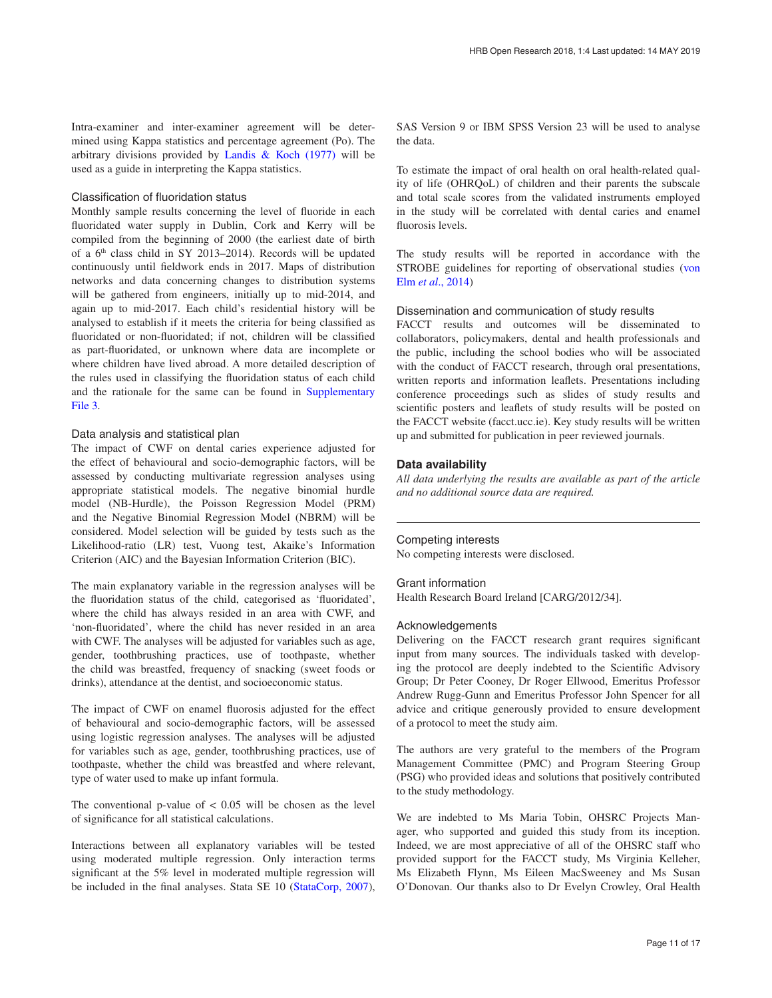Intra-examiner and inter-examiner agreement will be determined using Kappa statistics and percentage agreement (Po). The arbitrary divisions provided by [Landis & Koch \(1977\)](#page-12-0) will be used as a guide in interpreting the Kappa statistics.

#### Classification of fluoridation status

Monthly sample results concerning the level of fluoride in each fluoridated water supply in Dublin, Cork and Kerry will be compiled from the beginning of 2000 (the earliest date of birth of a  $6<sup>th</sup>$  class child in SY 2013–2014). Records will be updated continuously until fieldwork ends in 2017. Maps of distribution networks and data concerning changes to distribution systems will be gathered from engineers, initially up to mid-2014, and again up to mid-2017. Each child's residential history will be analysed to establish if it meets the criteria for being classified as fluoridated or non-fluoridated; if not, children will be classified as part-fluoridated, or unknown where data are incomplete or where children have lived abroad. A more detailed description of the rules used in classifying the fluoridation status of each child and the rationale for the same can be found in [Supplementary](#page-11-0)  [File 3](#page-11-0).

#### Data analysis and statistical plan

The impact of CWF on dental caries experience adjusted for the effect of behavioural and socio-demographic factors, will be assessed by conducting multivariate regression analyses using appropriate statistical models. The negative binomial hurdle model (NB-Hurdle), the Poisson Regression Model (PRM) and the Negative Binomial Regression Model (NBRM) will be considered. Model selection will be guided by tests such as the Likelihood-ratio (LR) test, Vuong test, Akaike's Information Criterion (AIC) and the Bayesian Information Criterion (BIC).

The main explanatory variable in the regression analyses will be the fluoridation status of the child, categorised as 'fluoridated', where the child has always resided in an area with CWF, and 'non-fluoridated', where the child has never resided in an area with CWF. The analyses will be adjusted for variables such as age, gender, toothbrushing practices, use of toothpaste, whether the child was breastfed, frequency of snacking (sweet foods or drinks), attendance at the dentist, and socioeconomic status.

The impact of CWF on enamel fluorosis adjusted for the effect of behavioural and socio-demographic factors, will be assessed using logistic regression analyses. The analyses will be adjusted for variables such as age, gender, toothbrushing practices, use of toothpaste, whether the child was breastfed and where relevant, type of water used to make up infant formula.

The conventional p-value of  $< 0.05$  will be chosen as the level of significance for all statistical calculations.

Interactions between all explanatory variables will be tested using moderated multiple regression. Only interaction terms significant at the 5% level in moderated multiple regression will be included in the final analyses. Stata SE 10 ([StataCorp, 2007](#page-12-0)),

SAS Version 9 or IBM SPSS Version 23 will be used to analyse the data.

To estimate the impact of oral health on oral health-related quality of life (OHRQoL) of children and their parents the subscale and total scale scores from the validated instruments employed in the study will be correlated with dental caries and enamel fluorosis levels.

The study results will be reported in accordance with the STROBE guidelines for reporting of observational studies [\(von](#page-12-0)  Elm *et al*[., 2014](#page-12-0))

#### Dissemination and communication of study results

FACCT results and outcomes will be disseminated to collaborators, policymakers, dental and health professionals and the public, including the school bodies who will be associated with the conduct of FACCT research, through oral presentations, written reports and information leaflets. Presentations including conference proceedings such as slides of study results and scientific posters and leaflets of study results will be posted on the FACCT website (facct.ucc.ie). Key study results will be written up and submitted for publication in peer reviewed journals.

#### **Data availability**

*All data underlying the results are available as part of the article and no additional source data are required.*

Competing interests No competing interests were disclosed.

#### Grant information

Health Research Board Ireland [CARG/2012/34].

#### Acknowledgements

Delivering on the FACCT research grant requires significant input from many sources. The individuals tasked with developing the protocol are deeply indebted to the Scientific Advisory Group; Dr Peter Cooney, Dr Roger Ellwood, Emeritus Professor Andrew Rugg-Gunn and Emeritus Professor John Spencer for all advice and critique generously provided to ensure development of a protocol to meet the study aim.

The authors are very grateful to the members of the Program Management Committee (PMC) and Program Steering Group (PSG) who provided ideas and solutions that positively contributed to the study methodology.

We are indebted to Ms Maria Tobin, OHSRC Projects Manager, who supported and guided this study from its inception. Indeed, we are most appreciative of all of the OHSRC staff who provided support for the FACCT study, Ms Virginia Kelleher, Ms Elizabeth Flynn, Ms Eileen MacSweeney and Ms Susan O'Donovan. Our thanks also to Dr Evelyn Crowley, Oral Health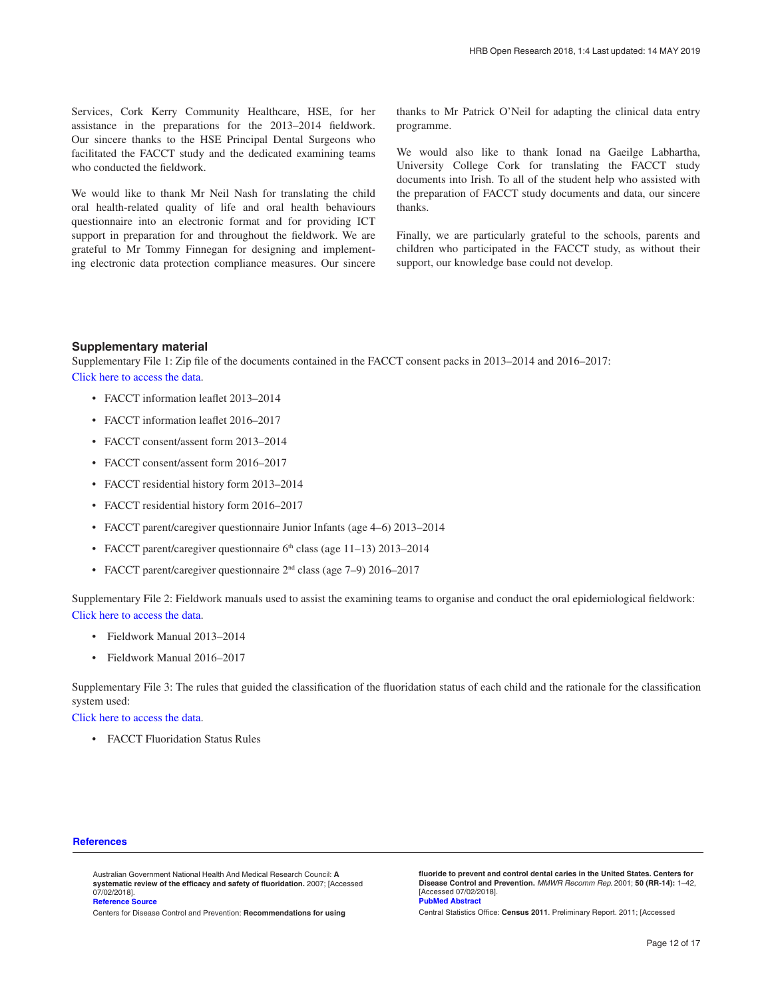<span id="page-11-0"></span>Services, Cork Kerry Community Healthcare, HSE, for her assistance in the preparations for the 2013–2014 fieldwork. Our sincere thanks to the HSE Principal Dental Surgeons who facilitated the FACCT study and the dedicated examining teams who conducted the fieldwork.

We would like to thank Mr Neil Nash for translating the child oral health-related quality of life and oral health behaviours questionnaire into an electronic format and for providing ICT support in preparation for and throughout the fieldwork. We are grateful to Mr Tommy Finnegan for designing and implementing electronic data protection compliance measures. Our sincere

thanks to Mr Patrick O'Neil for adapting the clinical data entry programme.

We would also like to thank Ionad na Gaeilge Labhartha, University College Cork for translating the FACCT study documents into Irish. To all of the student help who assisted with the preparation of FACCT study documents and data, our sincere thanks.

Finally, we are particularly grateful to the schools, parents and children who participated in the FACCT study, as without their support, our knowledge base could not develop.

#### **Supplementary material**

Supplementary File 1: Zip file of the documents contained in the FACCT consent packs in 2013–2014 and 2016–2017: [Click here to access the data](https://hrbopenresearch.s3.amazonaws.com/supplementary/12799/b9ccc048-607a-4e26-b5ce-3eb227d5daf2.7z).

- FACCT information leaflet 2013–2014
- FACCT information leaflet 2016–2017
- FACCT consent/assent form 2013–2014
- FACCT consent/assent form 2016–2017
- FACCT residential history form 2013–2014
- FACCT residential history form 2016–2017
- FACCT parent/caregiver questionnaire Junior Infants (age 4–6) 2013–2014
- FACCT parent/caregiver questionnaire  $6<sup>th</sup>$  class (age 11–13) 2013–2014
- FACCT parent/caregiver questionnaire  $2<sup>nd</sup>$  class (age 7–9) 2016–2017

Supplementary File 2: Fieldwork manuals used to assist the examining teams to organise and conduct the oral epidemiological fieldwork: [Click here to access the data](https://hrbopenresearch.s3.amazonaws.com/supplementary/12799/e65a6344-ffef-494c-a23d-0d8cbcf2c0d9.7z).

- Fieldwork Manual 2013–2014
- Fieldwork Manual 2016–2017

Supplementary File 3: The rules that guided the classification of the fluoridation status of each child and the rationale for the classification system used:

[Click here to access the data](https://hrbopenresearch.s3.amazonaws.com/supplementary/12799/018ae596-e2e1-4544-b320-29c770ab658c.pdf).

• FACCT Fluoridation Status Rules

#### **References**

Australian Government National Health And Medical Research Council: **A systematic review of the efficacy and safety of fluoridation.** 2007; [Accessed 07/02/2018]. **[Reference Source](https://www.nhmrc.gov.au/_files_nhmrc/publications/attachments/eh41_1.pdf)**

Centers for Disease Control and Prevention: **Recommendations for using** 

**fluoride to prevent and control dental caries in the United States. Centers for Disease Control and Prevention.** *MMWR Recomm Rep.* 2001; **50 (RR-14):** 1–42, [Accessed 07/02/2018]. **[PubMed Abstract](http://www.ncbi.nlm.nih.gov/pubmed/11521913)** 

Central Statistics Office: **Census 2011**. Preliminary Report. 2011; [Accessed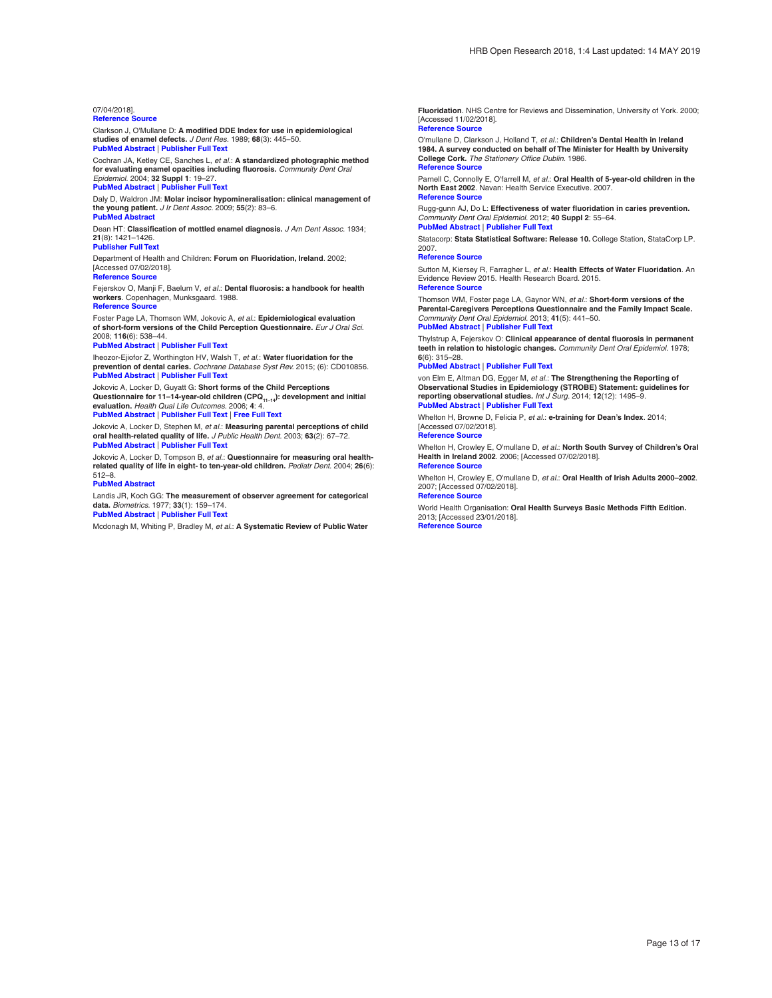#### <span id="page-12-0"></span>07/04/2018].

#### **[Reference Source](http://www.cso.ie/en/media/csoie/census/documents/Prelim_complete.pdf)**

Clarkson J, O'Mullane D: **A modified DDE Index for use in epidemiological studies of enamel defects.** *J Dent Res.* 1989; **68**(3): 445–50. **[PubMed Abstract](http://www.ncbi.nlm.nih.gov/pubmed/2921385)** | **[Publisher Full Text](http://dx.doi.org/10.1177/00220345890680030201)**

Cochran JA, Ketley CE, Sanches L, *et al.*: **A standardized photographic method for evaluating enamel opacities including fluorosis.** *Community Dent Oral Epidemiol.* 2004; **32 Suppl 1**: 19–27. **[PubMed Abstract](http://www.ncbi.nlm.nih.gov/pubmed/15016113)** | **[Publisher Full Text](http://dx.doi.org/10.1111/j.1600-0528.2004.00135.x)**

Daly D, Waldron JM: **Molar incisor hypomineralisation: clinical management of the young patient.** *J Ir Dent Assoc.* 2009; **55**(2): 83–6. **[PubMed Abstract](http://www.ncbi.nlm.nih.gov/pubmed/19455847)**

Dean HT: **Classification of mottled enamel diagnosis.** *J Am Dent Assoc.* 1934; **21**(8): 1421–1426.

### **[Publisher Full Text](http://dx.doi.org/10.14219/jada.archive.1934.0220)**

Department of Health and Children: **Forum on Fluoridation, Ireland**. 2002; [Accessed 07/02/2018].

### **[Reference Source](http://www.fluoridesandhealth.ie/download/documents/fluoridation_forum.pdf)**

Fejerskov O, Manji F, Baelum V, *et al.*: **Dental fluorosis: a handbook for health workers**. Copenhagen, Munksgaard. 1988. **[Reference Source](http://www.worldcat.org/title/dental-fluorosis-a-handbook-for-health-workers/oclc/466636905?referer=di&ht=edition)**

Foster Page LA, Thomson WM, Jokovic A, *et al.*: **Epidemiological evaluation of short-form versions of the Child Perception Questionnaire.** *Eur J Oral Sci.* 2008; **116**(6): 538–44.

#### **[PubMed Abstract](http://www.ncbi.nlm.nih.gov/pubmed/19049524)** | **[Publisher Full Text](http://dx.doi.org/10.1111/j.1600-0722.2008.00579.x)**

Iheozor-Ejiofor Z, Worthington HV, Walsh T, *et al.*: **Water fluoridation for the prevention of dental caries.** *Cochrane Database Syst Rev.* 2015; (6): CD010856. **[PubMed Abstract](http://www.ncbi.nlm.nih.gov/pubmed/26092033)** | **[Publisher Full Text](http://dx.doi.org/10.1002/14651858.CD010856.pub2)**

Jokovic A, Locker D, Guyatt G: **Short forms of the Child Perceptions**  JUNUTION, LUURGI D., Carran Children (CPQ<sub>11–14</sub>): development and initial **Questionnaire for 11–14-year-old children** (CPQ<sub>11–14</sub>): development and initial **evaluation.** *Health Qual Life Outcomes.* 2006; **4**: 4.

#### **[PubMed Abstract](http://www.ncbi.nlm.nih.gov/pubmed/16423298)** | **[Publisher Full Text](http://dx.doi.org/10.1186/1477-7525-4-4)** | **[Free Full Text](http://www.ncbi.nlm.nih.gov/pmc/articles/1368964)**

Jokovic A, Locker D, Stephen M, *et al.*: **Measuring parental perceptions of child oral health-related quality of life.** *J Public Health Dent.* 2003; **63**(2): 67–72. **[PubMed Abstract](http://www.ncbi.nlm.nih.gov/pubmed/12816135)** | **[Publisher Full Text](http://dx.doi.org/10.1111/j.1752-7325.2003.tb03477.x)**

Jokovic A, Locker D, Tompson B, *et al.*: **Questionnaire for measuring oral healthrelated quality of life in eight- to ten-year-old children.** *Pediatr Dent.* 2004; **26**(6): 512–8. **[PubMed Abstract](http://www.ncbi.nlm.nih.gov/pubmed/15646914)**

Landis JR, Koch GG: **The measurement of observer agreement for categorical data.** *Biometrics.* 1977; **33**(1): 159–174.

**[PubMed Abstract](http://www.ncbi.nlm.nih.gov/pubmed/843571)** | **[Publisher Full Text](http://dx.doi.org/10.2307/2529310)**

Mcdonagh M, Whiting P, Bradley M, *et al.*: **A Systematic Review of Public Water** 

**Fluoridation**. NHS Centre for Reviews and Dissemination, University of York. 2000; [Accessed 11/02/2018].

#### **[Reference Source](https://www.york.ac.uk/media/crd/crdreport18.pdf)**

O'mullane D, Clarkson J, Holland T, *et al.*: **Children's Dental Health in Ireland 1984. A survey conducted on behalf of The Minister for Health by University College Cork.** *The Stationery Office Dublin.* 1986. **[Reference Source](http://www.lenus.ie/hse/handle/10147/575361)**

Parnell C, Connolly E, O'farrell M, *et al.*: **Oral Health of 5-year-old children in the North East 2002**. Navan: Health Service Executive. 2007.

#### **[Reference Source](http://www.lenus.ie/hse/bitstream/10147/99297/1/OralHealth5yearoldsNE.pdf)**

Rugg-gunn AJ, Do L: **Effectiveness of water fluoridation in caries prevention.** *Community Dent Oral Epidemiol.* 2012; **40 Suppl 2**: 55–64. **[PubMed Abstract](http://www.ncbi.nlm.nih.gov/pubmed/22998306)** | **[Publisher Full Text](http://dx.doi.org/10.1111/j.1600-0528.2012.00721.x)**

Statacorp: **Stata Statistical Software: Release 10.** College Station, StataCorp LP.

2007.

#### **[Reference Source](http://www.scirp.org/(S(i43dyn45teexjx455qlt3d2q))/reference/ReferencesPapers.aspx?ReferenceID=1243289)**

Sutton M, Kiersey R, Farragher L, *et al.*: **Health Effects of Water Fluoridation**. An Evidence Review 2015. Health Research Board. 2015. **[Reference Source](http://www.hrb.ie/uploads/tx_hrbpublications/Health_Effects_of_Water_Fluoridation.pdf)**

Thomson WM, Foster page LA, Gaynor WN, *et al.*: **Short-form versions of the Parental-Caregivers Perceptions Questionnaire and the Family Impact Scale.** *Community Dent Oral Epidemiol.* 2013; **41**(5): 441–50. **[PubMed Abstract](http://www.ncbi.nlm.nih.gov/pubmed/23330809)** | **[Publisher Full Text](http://dx.doi.org/10.1111/cdoe.12036)**

Thylstrup A, Fejerskov O: **Clinical appearance of dental fluorosis in permanent teeth in relation to histologic changes.** *Community Dent Oral Epidemiol.* 1978; **6**(6): 315–28.

#### **[PubMed Abstract](http://www.ncbi.nlm.nih.gov/pubmed/282114)** | **[Publisher Full Text](http://dx.doi.org/10.1111/j.1600-0528.1978.tb01173.x)**

von Elm E, Altman DG, Egger M, *et al.*: **The Strengthening the Reporting of Observational Studies in Epidemiology (STROBE) Statement: guidelines for reporting observational studies.** *Int J Surg.* 2014; **12**(12): 1495–9. **[PubMed Abstract](http://www.ncbi.nlm.nih.gov/pubmed/25046131)** | **[Publisher Full Text](http://dx.doi.org/10.1016/j.ijsu.2014.07.013)**

Whelton H, Browne D, Felicia P, *et al.*: **e-training for Dean's Index**. 2014; [Accessed 07/02/2018].

**[Reference Source](http://www.fluorosisindex.com/)**

Whelton H, Crowley E, O'mullane D, *et al.*: **North South Survey of Children's Oral Health in Ireland 2002**. 2006; [Accessed 07/02/2018]. **[Reference Source](http://health.gov.ie/blog/publications/north-south-survey-of-childrens-oral-health-in-ireland-2002/)**

Whelton H, Crowley E, O'mullane D, *et al.*: **Oral Health of Irish Adults 2000–2002**. 2007; [Accessed 07/02/2018]. **[Reference Source](http://health.gov.ie/blog/publications/oral-health-of-irish-adults-2000-2002/)**

World Health Organisation: **Oral Health Surveys Basic Methods Fifth Edition.**  2013; [Accessed 23/01/2018].

**[Reference Source](http://www.who.int/oral_health/publications/9789241548649/en/)**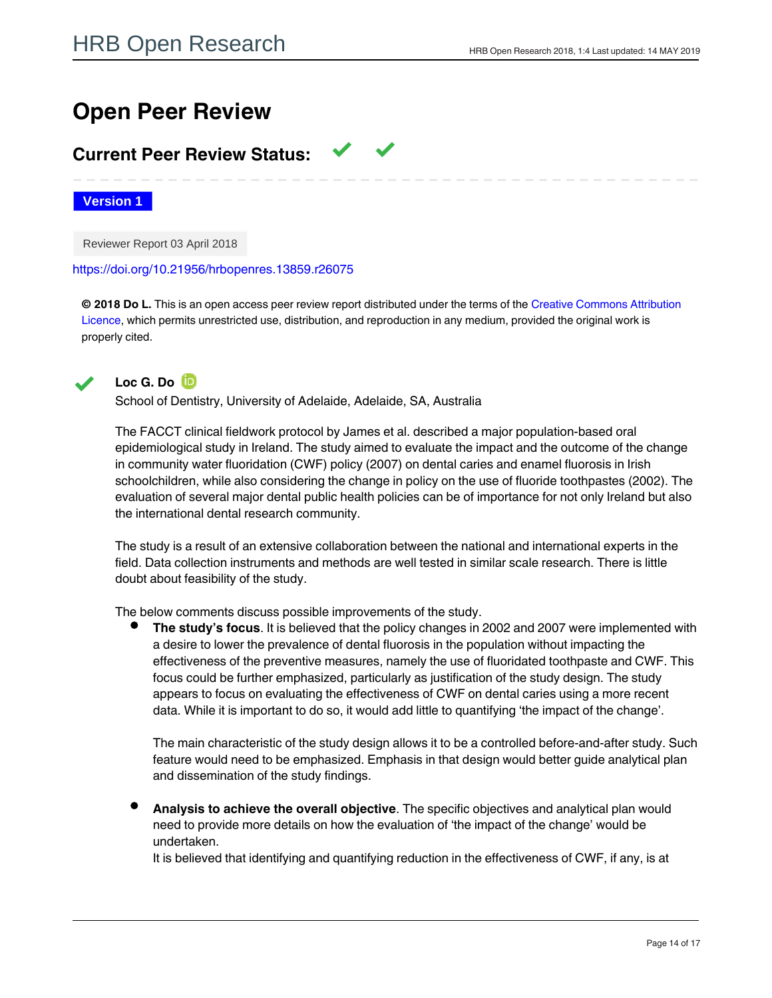# **Open Peer Review**

## **Current Peer Review Status:**

**Version 1**

Reviewer Report 03 April 2018

<https://doi.org/10.21956/hrbopenres.13859.r26075>

**© 2018 Do L.** This is an open access peer review report distributed under the terms of the [Creative Commons Attribution](https://creativecommons.org/licenses/by/4.0/) [Licence,](https://creativecommons.org/licenses/by/4.0/) which permits unrestricted use, distribution, and reproduction in any medium, provided the original work is properly cited.



**Loc G. Do**

School of Dentistry, University of Adelaide, Adelaide, SA, Australia

The FACCT clinical fieldwork protocol by James et al. described a major population-based oral epidemiological study in Ireland. The study aimed to evaluate the impact and the outcome of the change in community water fluoridation (CWF) policy (2007) on dental caries and enamel fluorosis in Irish schoolchildren, while also considering the change in policy on the use of fluoride toothpastes (2002). The evaluation of several major dental public health policies can be of importance for not only Ireland but also the international dental research community.

The study is a result of an extensive collaboration between the national and international experts in the field. Data collection instruments and methods are well tested in similar scale research. There is little doubt about feasibility of the study.

The below comments discuss possible improvements of the study.

**The study's focus**. It is believed that the policy changes in 2002 and 2007 were implemented with a desire to lower the prevalence of dental fluorosis in the population without impacting the effectiveness of the preventive measures, namely the use of fluoridated toothpaste and CWF. This focus could be further emphasized, particularly as justification of the study design. The study appears to focus on evaluating the effectiveness of CWF on dental caries using a more recent data. While it is important to do so, it would add little to quantifying 'the impact of the change'.

The main characteristic of the study design allows it to be a controlled before-and-after study. Such feature would need to be emphasized. Emphasis in that design would better guide analytical plan and dissemination of the study findings.

**Analysis to achieve the overall objective**. The specific objectives and analytical plan would need to provide more details on how the evaluation of 'the impact of the change' would be undertaken.

It is believed that identifying and quantifying reduction in the effectiveness of CWF, if any, is at

least as important as confirming the effectiveness of CWF at the new level. Such quantification is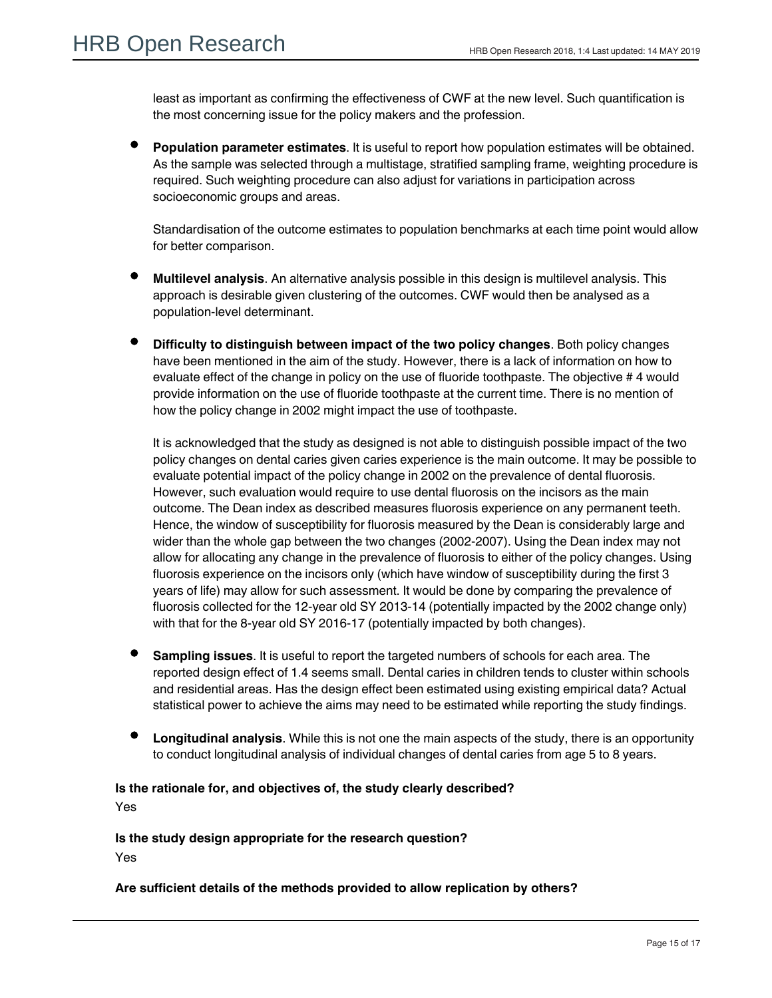least as important as confirming the effectiveness of CWF at the new level. Such quantification is the most concerning issue for the policy makers and the profession.

**Population parameter estimates**. It is useful to report how population estimates will be obtained. As the sample was selected through a multistage, stratified sampling frame, weighting procedure is required. Such weighting procedure can also adjust for variations in participation across socioeconomic groups and areas.

Standardisation of the outcome estimates to population benchmarks at each time point would allow for better comparison.

- **Multilevel analysis**. An alternative analysis possible in this design is multilevel analysis. This approach is desirable given clustering of the outcomes. CWF would then be analysed as a population-level determinant.
- **Difficulty to distinguish between impact of the two policy changes**. Both policy changes have been mentioned in the aim of the study. However, there is a lack of information on how to evaluate effect of the change in policy on the use of fluoride toothpaste. The objective # 4 would provide information on the use of fluoride toothpaste at the current time. There is no mention of how the policy change in 2002 might impact the use of toothpaste.

It is acknowledged that the study as designed is not able to distinguish possible impact of the two policy changes on dental caries given caries experience is the main outcome. It may be possible to evaluate potential impact of the policy change in 2002 on the prevalence of dental fluorosis. However, such evaluation would require to use dental fluorosis on the incisors as the main outcome. The Dean index as described measures fluorosis experience on any permanent teeth. Hence, the window of susceptibility for fluorosis measured by the Dean is considerably large and wider than the whole gap between the two changes (2002-2007). Using the Dean index may not allow for allocating any change in the prevalence of fluorosis to either of the policy changes. Using fluorosis experience on the incisors only (which have window of susceptibility during the first 3 years of life) may allow for such assessment. It would be done by comparing the prevalence of fluorosis collected for the 12-year old SY 2013-14 (potentially impacted by the 2002 change only) with that for the 8-year old SY 2016-17 (potentially impacted by both changes).

- **Sampling issues**. It is useful to report the targeted numbers of schools for each area. The reported design effect of 1.4 seems small. Dental caries in children tends to cluster within schools and residential areas. Has the design effect been estimated using existing empirical data? Actual statistical power to achieve the aims may need to be estimated while reporting the study findings.
- **Longitudinal analysis**. While this is not one the main aspects of the study, there is an opportunity to conduct longitudinal analysis of individual changes of dental caries from age 5 to 8 years.

#### **Is the rationale for, and objectives of, the study clearly described?**

Yes

Partly

**Is the study design appropriate for the research question?** Yes

#### **Are sufficient details of the methods provided to allow replication by others?**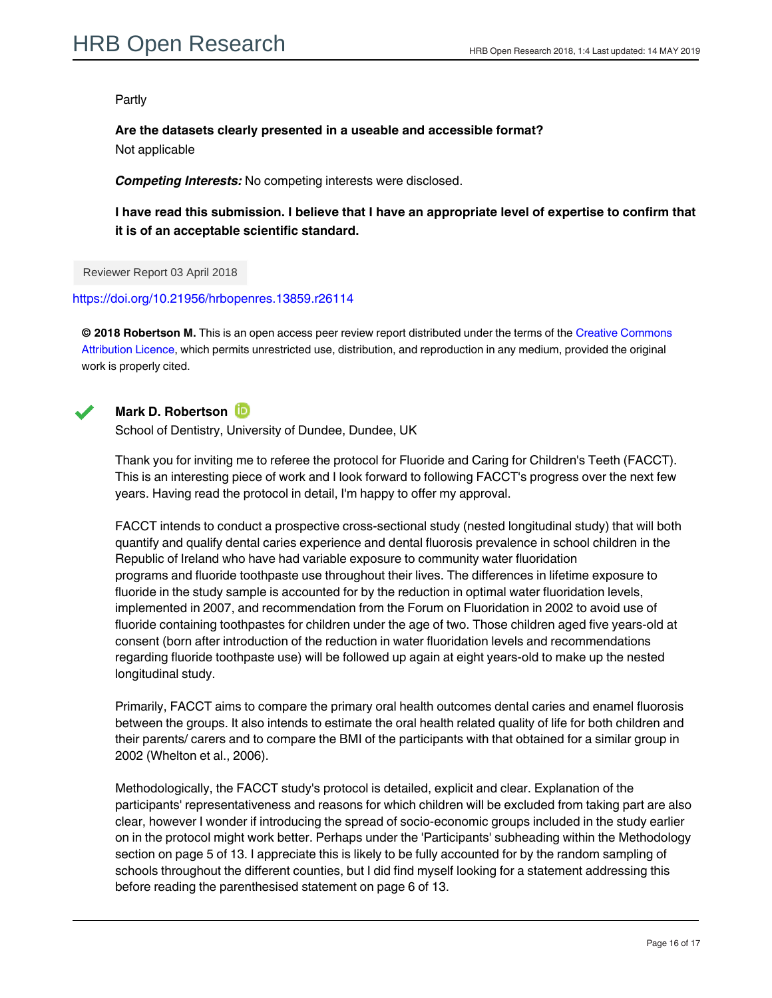#### Partly

**Are the datasets clearly presented in a useable and accessible format?** Not applicable

*Competing Interests:* No competing interests were disclosed.

**I have read this submission. I believe that I have an appropriate level of expertise to confirm that it is of an acceptable scientific standard.**

Reviewer Report 03 April 2018

<https://doi.org/10.21956/hrbopenres.13859.r26114>

**© 2018 Robertson M.** This is an open access peer review report distributed under the terms of the [Creative Commons](https://creativecommons.org/licenses/by/4.0/) [Attribution Licence](https://creativecommons.org/licenses/by/4.0/), which permits unrestricted use, distribution, and reproduction in any medium, provided the original work is properly cited.



### **Mark D. Robertson**

School of Dentistry, University of Dundee, Dundee, UK

Thank you for inviting me to referee the protocol for Fluoride and Caring for Children's Teeth (FACCT). This is an interesting piece of work and I look forward to following FACCT's progress over the next few years. Having read the protocol in detail, I'm happy to offer my approval.

FACCT intends to conduct a prospective cross-sectional study (nested longitudinal study) that will both quantify and qualify dental caries experience and dental fluorosis prevalence in school children in the Republic of Ireland who have had variable exposure to community water fluoridation programs and fluoride toothpaste use throughout their lives. The differences in lifetime exposure to fluoride in the study sample is accounted for by the reduction in optimal water fluoridation levels, implemented in 2007, and recommendation from the Forum on Fluoridation in 2002 to avoid use of fluoride containing toothpastes for children under the age of two. Those children aged five years-old at consent (born after introduction of the reduction in water fluoridation levels and recommendations regarding fluoride toothpaste use) will be followed up again at eight years-old to make up the nested longitudinal study.

Primarily, FACCT aims to compare the primary oral health outcomes dental caries and enamel fluorosis between the groups. It also intends to estimate the oral health related quality of life for both children and their parents/ carers and to compare the BMI of the participants with that obtained for a similar group in 2002 (Whelton et al., 2006).

Methodologically, the FACCT study's protocol is detailed, explicit and clear. Explanation of the participants' representativeness and reasons for which children will be excluded from taking part are also clear, however I wonder if introducing the spread of socio-economic groups included in the study earlier on in the protocol might work better. Perhaps under the 'Participants' subheading within the Methodology section on page 5 of 13. I appreciate this is likely to be fully accounted for by the random sampling of schools throughout the different counties, but I did find myself looking for a statement addressing this before reading the parenthesised statement on page 6 of 13.